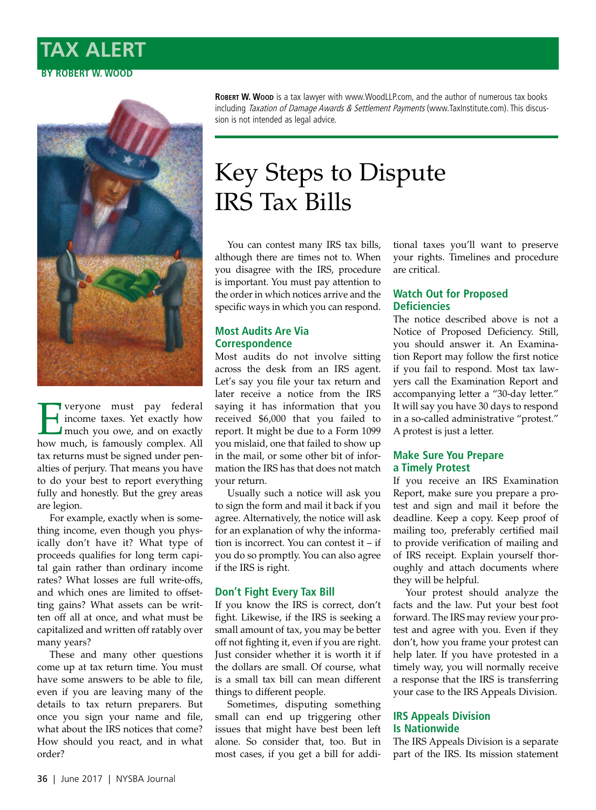# **TAX ALERT BY ROBERT W. WOOD**



**Example 18 Separate Strains** income taxes. Yet exactly how much you owe, and on exactly how much is famously complex. income taxes. Yet exactly how much you owe, and on exactly how much, is famously complex. All tax returns must be signed under penalties of perjury. That means you have to do your best to report everything fully and honestly. But the grey areas are legion.

For example, exactly when is something income, even though you physically don't have it? What type of proceeds qualifies for long term capital gain rather than ordinary income rates? What losses are full write-offs, and which ones are limited to offsetting gains? What assets can be written off all at once, and what must be capitalized and written off ratably over many years?

These and many other questions come up at tax return time. You must have some answers to be able to file, even if you are leaving many of the details to tax return preparers. But once you sign your name and file, what about the IRS notices that come? How should you react, and in what order?

**ROBERT W. Wood** is a tax lawyer with [www.WoodLLP.com](http://www.WoodLLP.com), and the author of numerous tax books including Taxation of Damage Awards & Settlement Payments [\(www.TaxInstitute.com](http://www.TaxInstitute.com)). This discussion is not intended as legal advice.

# Key Steps to Dispute IRS Tax Bills

You can contest many IRS tax bills, although there are times not to. When you disagree with the IRS, procedure is important. You must pay attention to the order in which notices arrive and the specific ways in which you can respond.

# **Most Audits Are Via Correspondence**

Most audits do not involve sitting across the desk from an IRS agent. Let's say you file your tax return and later receive a notice from the IRS saying it has information that you received \$6,000 that you failed to report. It might be due to a Form 1099 you mislaid, one that failed to show up in the mail, or some other bit of information the IRS has that does not match your return.

Usually such a notice will ask you to sign the form and mail it back if you agree. Alternatively, the notice will ask for an explanation of why the information is incorrect. You can contest it – if you do so promptly. You can also agree if the IRS is right.

# **Don't Fight Every Tax Bill**

If you know the IRS is correct, don't fight. Likewise, if the IRS is seeking a small amount of tax, you may be better off not fighting it, even if you are right. Just consider whether it is worth it if the dollars are small. Of course, what is a small tax bill can mean different things to different people.

Sometimes, disputing something small can end up triggering other issues that might have best been left alone. So consider that, too. But in most cases, if you get a bill for addi-

tional taxes you'll want to preserve your rights. Timelines and procedure are critical.

# **Watch Out for Proposed Deficiencies**

The notice described above is not a Notice of Proposed Deficiency. Still, you should answer it. An Examination Report may follow the first notice if you fail to respond. Most tax lawyers call the Examination Report and accompanying letter a "30-day letter." It will say you have 30 days to respond in a so-called administrative "protest." A protest is just a letter.

#### **Make Sure You Prepare a Timely Protest**

If you receive an IRS Examination Report, make sure you prepare a protest and sign and mail it before the deadline. Keep a copy. Keep proof of mailing too, preferably certified mail to provide verification of mailing and of IRS receipt. Explain yourself thoroughly and attach documents where they will be helpful.

Your protest should analyze the facts and the law. Put your best foot forward. The IRS may review your protest and agree with you. Even if they don't, how you frame your protest can help later. If you have protested in a timely way, you will normally receive a response that the IRS is transferring your case to the IRS Appeals Division.

## **IRS Appeals Division Is Nationwide**

The IRS Appeals Division is a separate part of the IRS. Its mission statement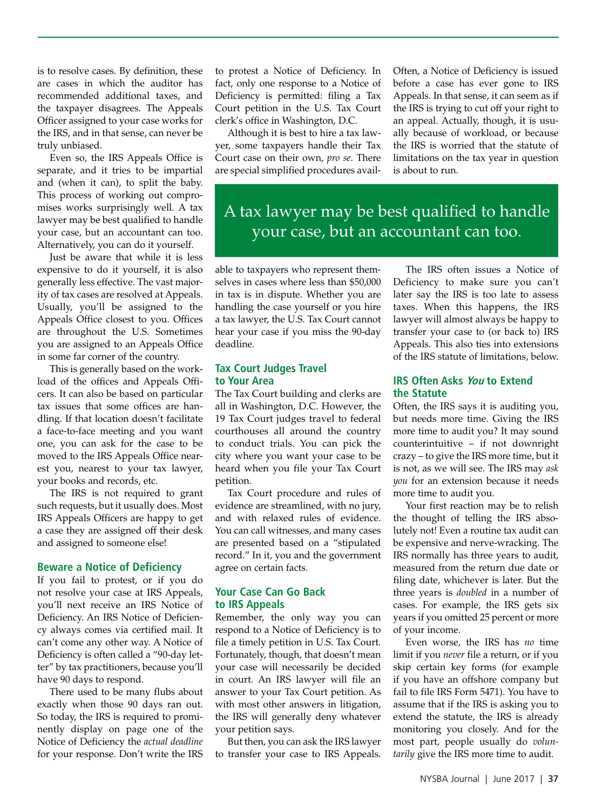is to resolve cases. By definition, these are cases in which the auditor has recommended additional taxes, and the taxpayer disagrees. The Appeals Officer assigned to your case works for the IRS, and in that sense, can never be truly unbiased.

Even so, the IRS Appeals Office is separate, and it tries to be impartial and (when it can), to split the baby. This process of working out compromises works surprisingly well. A tax lawyer may be best qualified to handle your case, but an accountant can too. Alternatively, you can do it yourself.

Just be aware that while it is less expensive to do it yourself, it is also generally less effective. The vast majority of tax cases are resolved at Appeals. Usually, you'll be assigned to the Appeals Office closest to you. Offices are throughout the U.S. Sometimes you are assigned to an Appeals Office in some far corner of the country.

This is generally based on the workload of the offices and Appeals Officers. It can also be based on particular tax issues that some offices are handling. If that location doesn't facilitate a face-to-face meeting and you want one, you can ask for the case to be moved to the IRS Appeals Office nearest you, nearest to your tax lawyer, your books and records, etc.

The IRS is not required to grant such requests, but it usually does. Most IRS Appeals Officers are happy to get a case they are assigned off their desk and assigned to someone else!

#### **Beware a Notice of Deficiency**

If you fail to protest, or if you do not resolve your case at IRS Appeals, you'll next receive an IRS Notice of Deficiency. An IRS Notice of Deficiency always comes via certified mail. It can't come any other way. A Notice of Deficiency is often called a "90-day letter" by tax practitioners, because you'll have 90 days to respond.

There used to be many flubs about exactly when those 90 days ran out. So today, the IRS is required to prominently display on page one of the Notice of Deficiency the *actual deadline*  for your response. Don't write the IRS

to protest a Notice of Deficiency. In fact, only one response to a Notice of Deficiency is permitted: filing a Tax Court petition in the U.S. Tax Court clerk's office in Washington, D.C.

Although it is best to hire a tax lawyer, some taxpayers handle their Tax Court case on their own, *pro se*. There are special simplified procedures availOften, a Notice of Deficiency is issued before a case has ever gone to IRS Appeals. In that sense, it can seem as if the IRS is trying to cut off your right to an appeal. Actually, though, it is usually because of workload, or because the IRS is worried that the statute of limitations on the tax year in question is about to run.

A tax lawyer may be best qualified to handle your case, but an accountant can too.

able to taxpayers who represent themselves in cases where less than \$50,000 in tax is in dispute. Whether you are handling the case yourself or you hire a tax lawyer, the U.S. Tax Court cannot hear your case if you miss the 90-day deadline.

#### **Tax Court Judges Travel to Your Area**

The Tax Court building and clerks are all in Washington, D.C. However, the 19 Tax Court judges travel to federal courthouses all around the country to conduct trials. You can pick the city where you want your case to be heard when you file your Tax Court petition.

Tax Court procedure and rules of evidence are streamlined, with no jury, and with relaxed rules of evidence. You can call witnesses, and many cases are presented based on a "stipulated record." In it, you and the government agree on certain facts.

#### **Your Case Can Go Back to IRS Appeals**

Remember, the only way you can respond to a Notice of Deficiency is to file a timely petition in U.S. Tax Court. Fortunately, though, that doesn't mean your case will necessarily be decided in court. An IRS lawyer will file an answer to your Tax Court petition. As with most other answers in litigation, the IRS will generally deny whatever your petition says.

But then, you can ask the IRS lawyer to transfer your case to IRS Appeals.

The IRS often issues a Notice of Deficiency to make sure you can't later say the IRS is too late to assess taxes. When this happens, the IRS lawyer will almost always be happy to transfer your case to (or back to) IRS Appeals. This also ties into extensions of the IRS statute of limitations, below.

#### **IRS Often Asks You to Extend the Statute**

Often, the IRS says it is auditing you, but needs more time. Giving the IRS more time to audit you? It may sound counterintuitive – if not downright crazy – to give the IRS more time, but it is not, as we will see. The IRS may *ask you* for an extension because it needs more time to audit you.

Your first reaction may be to relish the thought of telling the IRS absolutely not! Even a routine tax audit can be expensive and nerve-wracking. The IRS normally has three years to audit, measured from the return due date or filing date, whichever is later. But the three years is *doubled* in a number of cases. For example, the IRS gets six years if you omitted 25 percent or more of your income.

Even worse, the IRS has *no* time limit if you *never* file a return, or if you skip certain key forms (for example if you have an offshore company but fail to file IRS Form 5471). You have to assume that if the IRS is asking you to extend the statute, the IRS is already monitoring you closely. And for the most part, people usually do *voluntarily* give the IRS more time to audit.